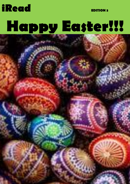# **[Happy Easter!!!](https://www.google.co.uk/imgres?imgurl=http://www.alma-de-cuba.com/wp-content/uploads/2015/03/Traditional-Easter-eggs-008.jpg&imgrefurl=http://www.alma-de-cuba.com/traditional-easter-eggs/&docid=xWQKvXbFiCIwPM&tbnid=rJuiRLmb45xV2M:&vet=10ahUKEwjPh6K93ezSAhUkBcAKHbEvBoAQMwgcKAAwAA..i&w=460&h=276&safe=active&bih=677&biw=1438&q=traditional easter eggs&ved=0ahUKEwjPh6K93ezSAhUkBcAKHbEvBoAQMwgcKAAwAA&iact=mrc&uact=8)**

1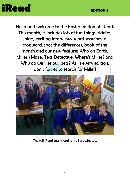

Hello and welcome to the Easter edition of iRead. This month, it includes lots of fun things: riddles, jokes, exciting interviews, word searches, a crossword, spot the differences, book of the month and our new features Who on Earth, Miller's Maze, Text Detective, Where's Miller? and Why do we like our pets? As in every edition, don't forget to search for Miller!



The full iRead team, and it's still growing…….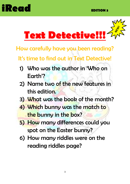



How carefully have you been reading?

It's time to find out in Text Detective!

- 1) Who was the author in 'Who on Earth'?
- 2) Name two of the new features in this edition.
- 3) What was the book of the month?
- 4) Which bunny was the match to the bunny in the box?
- 5) How many differences could you spot on the Easter bunny?
- 6) How many riddles were on the reading riddles page?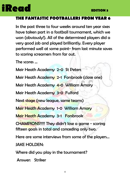#### **THE FANTASTIC FOOTBALLERS FROM YEAR 6**

In the past three to four weeks around ten year sixes have taken part in a football tournament, which we won (obviously!). All of the determined players did a very good job and played brilliantly. Every player performed well at some point- from last minute saves to scoring screamers from far out.

The scores …

Meir Heath Academy 2-0 St Peters

Meir Heath Academy 2-1 Forsbrook (close one)

Meir Heath Academy 4-0 William Amory

Meir Heath Academy 3-0 Fulford

Next stage (new league, same teams)

Meir Heath Academy 1-0 William Amory

Meir Heath Academy 3-1 Forsbrook

CHAMPIONS!!!!! They didn't lose a game - scoring fifteen goals in total and conceding only two.

Here are some interviews from some of the players…

JAKE HOLDEN:

Where did you play in the tournament?

Answer: Striber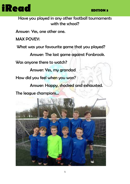

Have you played in any other football tournaments with the school?

Answer: Yes, one other one.

MAX POVEY:

What was your favourite game that you played?

Answer: The last game against Forsbrook.

Was anyone there to watch?

Answer: Yes, my grandad

How did you feel when you won?

Answer: Happy, shocked and exhausted.

The league champions…

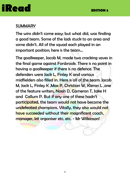#### **SUMMARY**

The wins didn't come easy; but what did, was finding a good team. Some of the lads stuck to an area and some didn't. All of the squad each played in an important position; here is the team…

The goalkeeper, Jacob M, made two cracking saves in the final game against Forsbrook. There is no point in having a goalkeeper if there is no defence. The defenders were Jack L, Finley K and various midfielders also filled in. Here is all of the team: Jacob M, Jack L, Finley K ,Max P, Christian W, Kieran L ,one of the feature writers, Noah D, Cameron T, Jake H and Callum P. But if any one of these hadn't participated, the team would not have become the undefeated champions. Vitally, they also would not have succeeded without their magnificent coach, manager, kit organiser etc. etc. - Mr Wilkinson!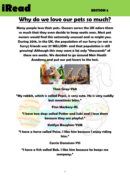#### **Why do we love our pets so much?**

**Many people love their pets. Owners across the UK adore them so much that they even decide to keep exotic ones. Most pet owners would find this extremely unusual and so might you. During 2016, in the UK, the population of our furry (or not so furry) friends was 57 MILLION- and that population is still growing! Although this may seem a lot only "thousands" of these are exotic. We decided to go around Meir Heath Academy and put our pet lovers to the test.**



**Thea Gray-Y60**

**"My rabbit, which is called Pepsi, is very cute. He is very cuddly but sometimes bites."**

#### **Finn Maskery-RL**

**"I have two dogs called Potter and Suki and I love them because they are playful."**

**Kaitlyn Baughen-Y6M**

**"I have a horse called Poise. I like him because I enjoy riding him."**

**Carrie Donnison-Y1S**

**"I have a fish called Bob. I like him because he keeps me company."**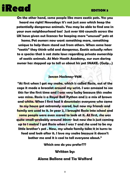**On the other hand, some people like more exotic pets. Yes you heard me right! Nowadays it's not just zoos which keep the potentially dangerous animals. You may be able to find one in your own neighbourhood too! Just over 100 councils across the UK have given out licences for keeping more "unusual" pets at** 

**home. Pet owners now want something more, something unique to help them stand out from others. When some hear "exotic" they think wild and dangerous. Exotic actually refers to a species that is not state laws regarding private ownership of exotic animals. At Meir Heath Academy, our own daring owner has stepped up to tell us about his pet SNAKE. (Gulp…)**

#### **Jensen Hackney-Y6M**

**"At first when I got my snake, which is called Rosie, out of the cage it made a bracelet around my wrist. I was amazed to see this for the first time and I was very lucky because this snake was mine. Rosie is a Royal Ball Python and is a mix of brown and white. When I first had it downstairs everyone who came to my house got extremely scared, but now my friends and family are used to it. In year 2, I brought Rosie into school and some people were even scared to look at it. At first, she was quite small-probably around 30cm- but now she is just coming up to 1 metre! I got Rosie when I was 7 and she used to be my little brother's pet . Now, my whole family take it in turns to feed and look after it. I love my snake because it doesn't bother me and it is cool to tell everyone about."**

**Which one do you prefer???**

**Written by:**

#### **Alana Ballone and Tia Walford**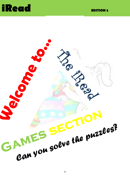



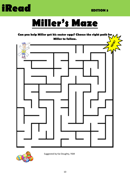



### **Miller's Maze**





Suggested by Kai Doughty, Y6M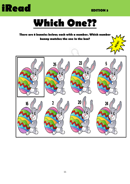

### **Which One??**

#### **There are 8 bunnies below; each with a number. Which number bunny matches the one in the box?**

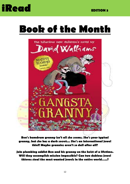### **Book of the Month**



**Ben's humdrum granny isn't all she seems. She's your typical granny, but she has a dark secret... She's an international jewel thief! Maybe grannies aren't so dull after all?**

**Join plumbing addict Ben and his granny on the heist of a lifetime. Will they accomplish mission impossible? Can two dubious jewel thieves steal the most wanted jewels in the entire world…..?**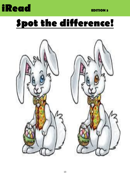### **Spot the difference!**

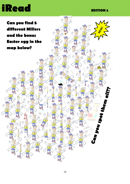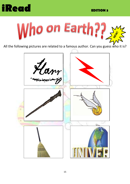



All the following pictures are related to a famous author. Can you guess who it is?

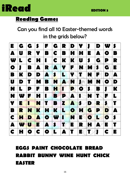

#### **Reading Games**

#### Can you find all 10 Easter-themed words in the grids below?

| E         | G | G |   | F | G           | R            | D         | Y         |           | D            | W         |                |
|-----------|---|---|---|---|-------------|--------------|-----------|-----------|-----------|--------------|-----------|----------------|
| A         | U | R | Y | B | C           | B            | H         | H         | E         | A            | O         | B              |
| W         | L | C | H | I | C           | K            | K         | U         | S         | G            | P         | R              |
| $\bullet$ | П | B | A | R | A           | Y            | F         | N         | M         | $\mathbf{s}$ | G         | E              |
| B         | K | D | D | A | $\mathbf s$ | L            | Y.        | T         | N         | P            | D         | A              |
| U         | D | T | M | B | N           | A            | N         | J         | M         | N            | $\bullet$ | D              |
| N         | L | P | F | B | H           | T            | P         | $\bullet$ | S         | B            |           | K              |
| N         | W | F | H |   | B           | P            | A         | ۰         | N         | ъ            | F         | $\blacksquare$ |
| Y         | E |   | N | T | B           | $\mathbf{z}$ | A         | $\bullet$ | D         | R            | \$        |                |
| B         | R | N | K | M | K           | L            | $\bullet$ | H         | G         | P            | D         | A              |
| C         | H | D | A | O | W           | H            | N         | E         | $\bullet$ | L            | O         | S              |
| A         | W | U | E | A | $\mathbf s$ | Т            | E         | R         | H         | Ą            | E         |                |
| C         | X | D | C | O | L           | A            | T         | E         | T         | J            | C         | E              |

#### **EGGS PAINT CHOCOLATE BREAD RABBIT BUNNY WINE HUNT CHICK EASTER**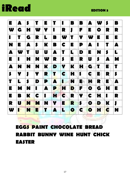

| E  | A | S |           | E                        |   | I  | B | B            | A         | W         | S | B         |
|----|---|---|-----------|--------------------------|---|----|---|--------------|-----------|-----------|---|-----------|
| W  | G | H | W         | Y                        | H | R  | J | F            | E         | $\bullet$ | R | R         |
|    | T | G | R         | L                        | B | W  | T | Y            | W         | E         | E | E         |
| N  | E | A | $\bullet$ | K                        | B | C  | E | P            | A         | П         | T | A         |
| A  | W | T | U         | U                        | A | T  | L | D            | E         | N         | S | L         |
| E  |   | H | N         | W                        | R | \$ | E | R            | U         | \$        | A | M         |
| A  | N | N | N         | K                        | D | Y  | K | Н            | G         | T         | E | T         |
| \$ | Y | П | Y         | R                        | T | C  | Н | 1            | C         | $\bullet$ | R | $\bullet$ |
| T  | L | S | D         | P                        | A | п  | N | E            | н         | R         | E | A         |
| E  | M | N | п         | A                        | P | H  | D | F            | $\bullet$ | G         | Н | E         |
| E  | B | K | C         | $\overline{\phantom{a}}$ | H | C  | R | Y            | C         | Н         |   | R         |
| R  | U | N | M         | N                        | Y | E  | R | $\mathbf{s}$ | O         | D         | K | J         |
| W  | H | N | E         |                          | A | L  | O | C            | O         | Н         | C | N         |

#### **EGGS PAINT CHOCOLATE BREAD RABBIT BUNNY WINE HUNT CHICK EASTER**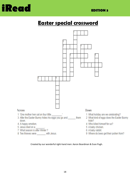

#### **Easter special crossword**



Created by our wonderful right-hand men: Aaron Boardman & Evan Pugh.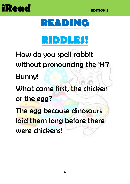



### **RIDDLES!**

How do you spell rabbit without pronouncing the 'R'? Bunny! What came first, the chicken or the egg? The egg because dinosaurs laid them long before there were chickens!